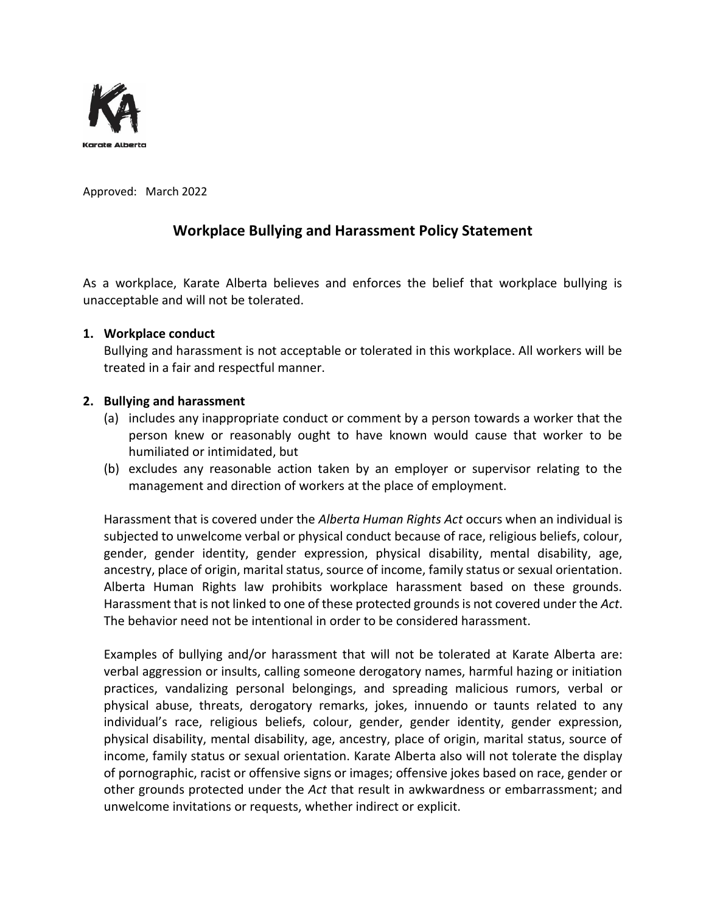

Approved: March 2022

# **Workplace Bullying and Harassment Policy Statement**

As a workplace, Karate Alberta believes and enforces the belief that workplace bullying is unacceptable and will not be tolerated.

### **1. Workplace conduct**

Bullying and harassment is not acceptable or tolerated in this workplace. All workers will be treated in a fair and respectful manner.

# **2. Bullying and harassment**

- (a) includes any inappropriate conduct or comment by a person towards a worker that the person knew or reasonably ought to have known would cause that worker to be humiliated or intimidated, but
- (b) excludes any reasonable action taken by an employer or supervisor relating to the management and direction of workers at the place of employment.

Harassment that is covered under the *Alberta Human Rights Act* occurs when an individual is subjected to unwelcome verbal or physical conduct because of race, religious beliefs, colour, gender, gender identity, gender expression, physical disability, mental disability, age, ancestry, place of origin, marital status, source of income, family status or sexual orientation. Alberta Human Rights law prohibits workplace harassment based on these grounds. Harassment that is not linked to one of these protected grounds is not covered under the *Act*. The behavior need not be intentional in order to be considered harassment.

Examples of bullying and/or harassment that will not be tolerated at Karate Alberta are: verbal aggression or insults, calling someone derogatory names, harmful hazing or initiation practices, vandalizing personal belongings, and spreading malicious rumors, verbal or physical abuse, threats, derogatory remarks, jokes, innuendo or taunts related to any individual's race, religious beliefs, colour, gender, gender identity, gender expression, physical disability, mental disability, age, ancestry, place of origin, marital status, source of income, family status or sexual orientation. Karate Alberta also will not tolerate the display of pornographic, racist or offensive signs or images; offensive jokes based on race, gender or other grounds protected under the *Act* that result in awkwardness or embarrassment; and unwelcome invitations or requests, whether indirect or explicit.